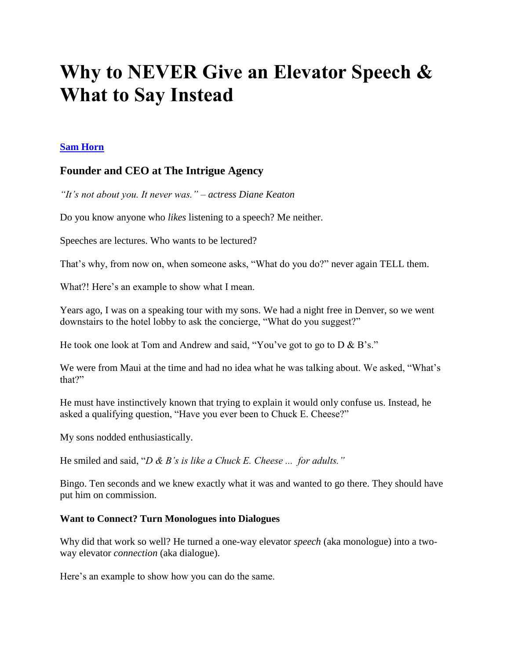## **Why to NEVER Give an Elevator Speech & What to Say Instead**

## **[Sam Horn](https://www.linkedin.com/in/samhorn)**

## **Founder and CEO at The Intrigue Agency**

*"It's not about you. It never was." – actress Diane Keaton*

Do you know anyone who *likes* listening to a speech? Me neither.

Speeches are lectures. Who wants to be lectured?

That's why, from now on, when someone asks, "What do you do?" never again TELL them.

What?! Here's an example to show what I mean.

Years ago, I was on a speaking tour with my sons. We had a night free in Denver, so we went downstairs to the hotel lobby to ask the concierge, "What do you suggest?"

He took one look at Tom and Andrew and said, "You've got to go to D & B's."

We were from Maui at the time and had no idea what he was talking about. We asked, "What's that?"

He must have instinctively known that trying to explain it would only confuse us. Instead, he asked a qualifying question, "Have you ever been to Chuck E. Cheese?"

My sons nodded enthusiastically.

He smiled and said, "*D & B's is like a Chuck E. Cheese ... for adults."*

Bingo. Ten seconds and we knew exactly what it was and wanted to go there. They should have put him on commission.

## **Want to Connect? Turn Monologues into Dialogues**

Why did that work so well? He turned a one-way elevator *speech* (aka monologue) into a twoway elevator *connection* (aka dialogue).

Here's an example to show how you can do the same.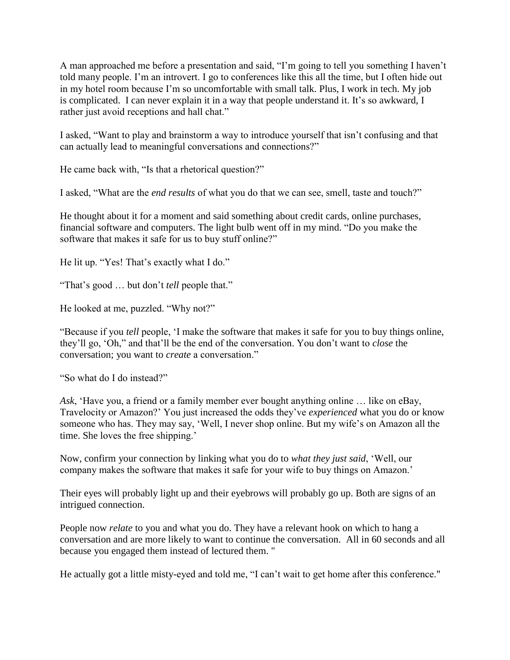A man approached me before a presentation and said, "I"m going to tell you something I haven"t told many people. I"m an introvert. I go to conferences like this all the time, but I often hide out in my hotel room because I"m so uncomfortable with small talk. Plus, I work in tech. My job is complicated. I can never explain it in a way that people understand it. It's so awkward, I rather just avoid receptions and hall chat."

I asked, "Want to play and brainstorm a way to introduce yourself that isn"t confusing and that can actually lead to meaningful conversations and connections?"

He came back with, "Is that a rhetorical question?"

I asked, "What are the *end results* of what you do that we can see, smell, taste and touch?"

He thought about it for a moment and said something about credit cards, online purchases, financial software and computers. The light bulb went off in my mind. "Do you make the software that makes it safe for us to buy stuff online?"

He lit up. "Yes! That's exactly what I do."

"That"s good … but don"t *tell* people that."

He looked at me, puzzled. "Why not?"

"Because if you *tell* people, "I make the software that makes it safe for you to buy things online, they"ll go, "Oh," and that"ll be the end of the conversation. You don"t want to *close* the conversation; you want to *create* a conversation."

"So what do I do instead?"

*Ask*, "Have you, a friend or a family member ever bought anything online … like on eBay, Travelocity or Amazon?" You just increased the odds they"ve *experienced* what you do or know someone who has. They may say, 'Well, I never shop online. But my wife's on Amazon all the time. She loves the free shipping.'

Now, confirm your connection by linking what you do to *what they just said*, "Well, our company makes the software that makes it safe for your wife to buy things on Amazon."

Their eyes will probably light up and their eyebrows will probably go up. Both are signs of an intrigued connection.

People now *relate* to you and what you do. They have a relevant hook on which to hang a conversation and are more likely to want to continue the conversation. All in 60 seconds and all because you engaged them instead of lectured them. "

He actually got a little misty-eyed and told me, "I can"t wait to get home after this conference."